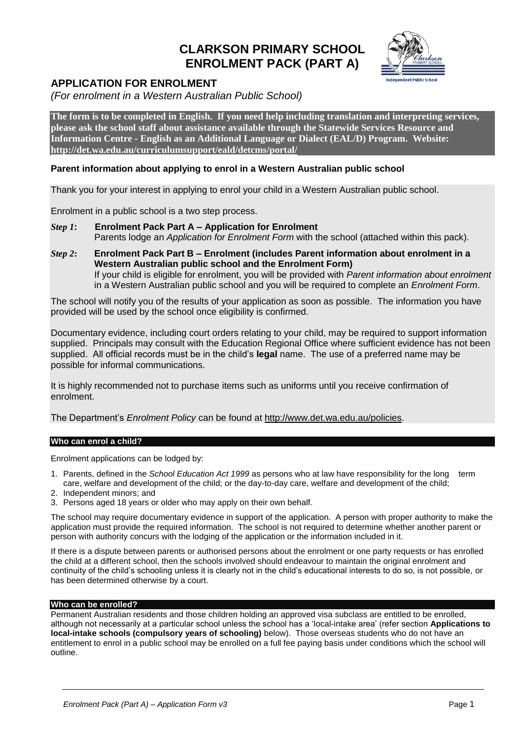# **CLARKSON PRIMARY SCHOOL ENROLMENT PACK (PART A)**



## **APPLICATION FOR ENROLMENT**

*(For enrolment in a Western Australian Public School)*

**The form is to be completed in English. If you need help including translation and interpreting services, please ask the school staff about assistance available through the Statewide Services Resource and Information Centre - English as an Additional Language or Dialect (EAL/D) Program. Website: <http://det.wa.edu.au/curriculumsupport/eald/detcms/portal/>**

## **Parent information about applying to enrol in a Western Australian public school**

Thank you for your interest in applying to enrol your child in a Western Australian public school.

Enrolment in a public school is a two step process.

- *Step 1***: Enrolment Pack Part A – Application for Enrolment** Parents lodge an *Application for Enrolment Form* with the school (attached within this pack).
- *Step 2***: Enrolment Pack Part B – Enrolment (includes Parent information about enrolment in a Western Australian public school and the Enrolment Form)** If your child is eligible for enrolment, you will be provided with *Parent information about enrolment* in a Western Australian public school and you will be required to complete an *Enrolment Form*.

The school will notify you of the results of your application as soon as possible. The information you have provided will be used by the school once eligibility is confirmed.

Documentary evidence, including court orders relating to your child, may be required to support information supplied. Principals may consult with the Education Regional Office where sufficient evidence has not been supplied. All official records must be in the child's **legal** name. The use of a preferred name may be possible for informal communications.

It is highly recommended not to purchase items such as uniforms until you receive confirmation of enrolment.

The Department's *Enrolment Policy* can be found at [http://www.det.wa.edu.au/policies.](http://www.det.wa.edu.au/policies)

## **Who can enrol a child?**

Enrolment applications can be lodged by:

- 1. Parents, defined in the *School Education Act 1999* as persons who at law have responsibility for the long term care, welfare and development of the child; or the day-to-day care, welfare and development of the child;
- 2. Independent minors; and
- 3. Persons aged 18 years or older who may apply on their own behalf.

The school may require documentary evidence in support of the application. A person with proper authority to make the application must provide the required information. The school is not required to determine whether another parent or person with authority concurs with the lodging of the application or the information included in it.

If there is a dispute between parents or authorised persons about the enrolment or one party requests or has enrolled the child at a different school, then the schools involved should endeavour to maintain the original enrolment and continuity of the child's schooling unless it is clearly not in the child's educational interests to do so, is not possible, or has been determined otherwise by a court.

## **Who can be enrolled?**

Permanent Australian residents and those children holding an approved visa subclass are entitled to be enrolled, although not necessarily at a particular school unless the school has a 'local-intake area' (refer section **Applications to local-intake schools (compulsory years of schooling)** below). Those overseas students who do not have an entitlement to enrol in a public school may be enrolled on a full fee paying basis under conditions which the school will outline.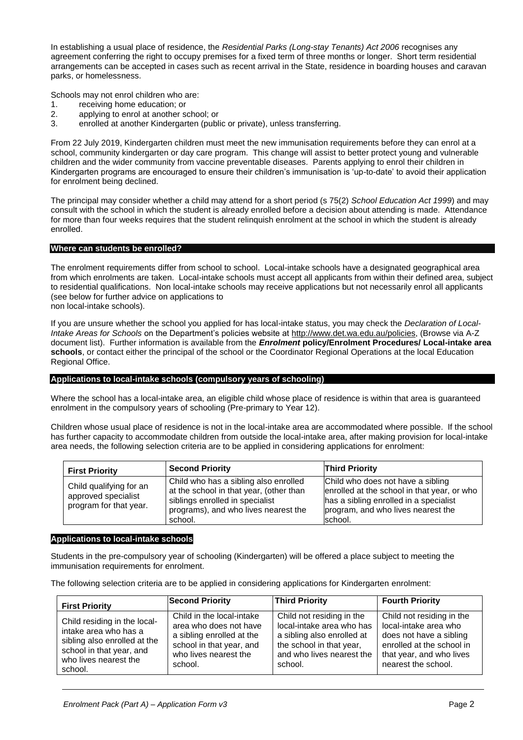In establishing a usual place of residence, the *Residential Parks (Long-stay Tenants) Act 2006* recognises any agreement conferring the right to occupy premises for a fixed term of three months or longer. Short term residential arrangements can be accepted in cases such as recent arrival in the State, residence in boarding houses and caravan parks, or homelessness.

Schools may not enrol children who are:

- 1. receiving home education; or
- 2. applying to enrol at another school; or
- 3. enrolled at another Kindergarten (public or private), unless transferring.

From 22 July 2019, Kindergarten children must meet the new immunisation requirements before they can enrol at a school, community kindergarten or day care program. This change will assist to better protect young and vulnerable children and the wider community from vaccine preventable diseases. Parents applying to enrol their children in Kindergarten programs are encouraged to ensure their children's immunisation is 'up-to-date' to avoid their application for enrolment being declined.

The principal may consider whether a child may attend for a short period (s 75(2) *School Education Act 1999*) and may consult with the school in which the student is already enrolled before a decision about attending is made. Attendance for more than four weeks requires that the student relinquish enrolment at the school in which the student is already enrolled.

#### **Where can students be enrolled?**

The enrolment requirements differ from school to school. Local-intake schools have a designated geographical area from which enrolments are taken. Local-intake schools must accept all applicants from within their defined area, subject to residential qualifications. Non local-intake schools may receive applications but not necessarily enrol all applicants (see below for further advice on applications to non local-intake schools).

If you are unsure whether the school you applied for has local-intake status, you may check the *Declaration of Local-Intake Areas for Schools* on the Department's policies website at [http://www.det.wa.edu.au/policies,](http://www.det.wa.edu.au/policies) (Browse via A-Z document list). Further information is available from the *Enrolment* **policy/Enrolment Procedures/ Local-intake area schools**, or contact either the principal of the school or the Coordinator Regional Operations at the local Education Regional Office.

#### **Applications to local-intake schools (compulsory years of schooling)**

Where the school has a local-intake area, an eligible child whose place of residence is within that area is guaranteed enrolment in the compulsory years of schooling (Pre-primary to Year 12).

Children whose usual place of residence is not in the local-intake area are accommodated where possible. If the school has further capacity to accommodate children from outside the local-intake area, after making provision for local-intake area needs, the following selection criteria are to be applied in considering applications for enrolment:

| <b>First Priority</b>                                                    | <b>Second Priority</b>                                                                                                                                                 | <b>Third Priority</b>                                                                                                                                                        |
|--------------------------------------------------------------------------|------------------------------------------------------------------------------------------------------------------------------------------------------------------------|------------------------------------------------------------------------------------------------------------------------------------------------------------------------------|
| Child qualifying for an<br>approved specialist<br>program for that year. | Child who has a sibling also enrolled<br>at the school in that year, (other than<br>siblings enrolled in specialist<br>programs), and who lives nearest the<br>school. | Child who does not have a sibling<br>enrolled at the school in that year, or who<br>has a sibling enrolled in a specialist<br>program, and who lives nearest the<br>lschool. |

#### **Applications to local-intake schools**

Students in the pre-compulsory year of schooling (Kindergarten) will be offered a place subject to meeting the immunisation requirements for enrolment.

The following selection criteria are to be applied in considering applications for Kindergarten enrolment:

| <b>First Priority</b>        | <b>Second Priority</b>    | <b>Third Priority</b>      | <b>Fourth Priority</b>    |
|------------------------------|---------------------------|----------------------------|---------------------------|
| Child residing in the local- | Child in the local-intake | Child not residing in the  | Child not residing in the |
| intake area who has a        | area who does not have    | local-intake area who has  | local-intake area who     |
| sibling also enrolled at the | a sibling enrolled at the | a sibling also enrolled at | does not have a sibling   |
| school in that year, and     | school in that year, and  | the school in that year,   | enrolled at the school in |
| who lives nearest the        | who lives nearest the     | and who lives nearest the  | that year, and who lives  |
| school.                      | school.                   | school.                    | nearest the school.       |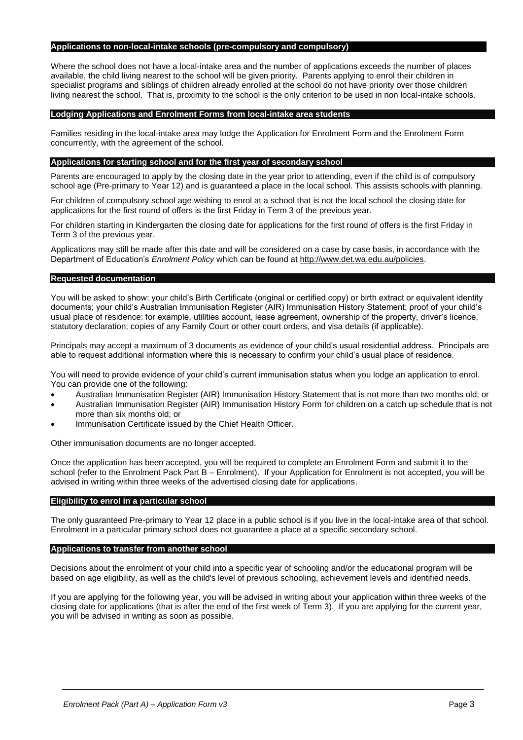#### **Applications to non-local-intake schools (pre-compulsory and compulsory)**

Where the school does not have a local-intake area and the number of applications exceeds the number of places available, the child living nearest to the school will be given priority. Parents applying to enrol their children in specialist programs and siblings of children already enrolled at the school do not have priority over those children living nearest the school. That is, proximity to the school is the only criterion to be used in non local-intake schools.

#### **Lodging Applications and Enrolment Forms from local-intake area students**

Families residing in the local-intake area may lodge the Application for Enrolment Form and the Enrolment Form concurrently, with the agreement of the school.

#### **Applications for starting school and for the first year of secondary school**

Parents are encouraged to apply by the closing date in the year prior to attending, even if the child is of compulsory school age (Pre-primary to Year 12) and is guaranteed a place in the local school. This assists schools with planning.

For children of compulsory school age wishing to enrol at a school that is not the local school the closing date for applications for the first round of offers is the first Friday in Term 3 of the previous year.

For children starting in Kindergarten the closing date for applications for the first round of offers is the first Friday in Term 3 of the previous year.

Applications may still be made after this date and will be considered on a case by case basis, in accordance with the Department of Education's *Enrolment Policy* which can be found at [http://www.det.wa.edu.au/policies.](http://www.det.wa.edu.au/policies)

#### **Requested documentation**

You will be asked to show: your child's Birth Certificate (original or certified copy) or birth extract or equivalent identity documents; your child's Australian Immunisation Register (AIR) Immunisation History Statement; proof of your child's usual place of residence: for example, utilities account, lease agreement, ownership of the property, driver's licence, statutory declaration; copies of any Family Court or other court orders, and visa details (if applicable).

Principals may accept a maximum of 3 documents as evidence of your child's usual residential address. Principals are able to request additional information where this is necessary to confirm your child's usual place of residence.

You will need to provide evidence of your child's current immunisation status when you lodge an application to enrol. You can provide one of the following:

- Australian Immunisation Register (AIR) Immunisation History Statement that is not more than two months old; or
- Australian Immunisation Register (AIR) Immunisation History Form for children on a catch up schedule that is not more than six months old; or
- Immunisation Certificate issued by the Chief Health Officer.

Other immunisation documents are no longer accepted.

Once the application has been accepted, you will be required to complete an Enrolment Form and submit it to the school (refer to the Enrolment Pack Part B – Enrolment). If your Application for Enrolment is not accepted, you will be advised in writing within three weeks of the advertised closing date for applications.

#### **Eligibility to enrol in a particular school**

The only guaranteed Pre-primary to Year 12 place in a public school is if you live in the local-intake area of that school. Enrolment in a particular primary school does not guarantee a place at a specific secondary school.

#### **Applications to transfer from another school**

Decisions about the enrolment of your child into a specific year of schooling and/or the educational program will be based on age eligibility, as well as the child's level of previous schooling, achievement levels and identified needs.

If you are applying for the following year, you will be advised in writing about your application within three weeks of the closing date for applications (that is after the end of the first week of Term 3). If you are applying for the current year, you will be advised in writing as soon as possible.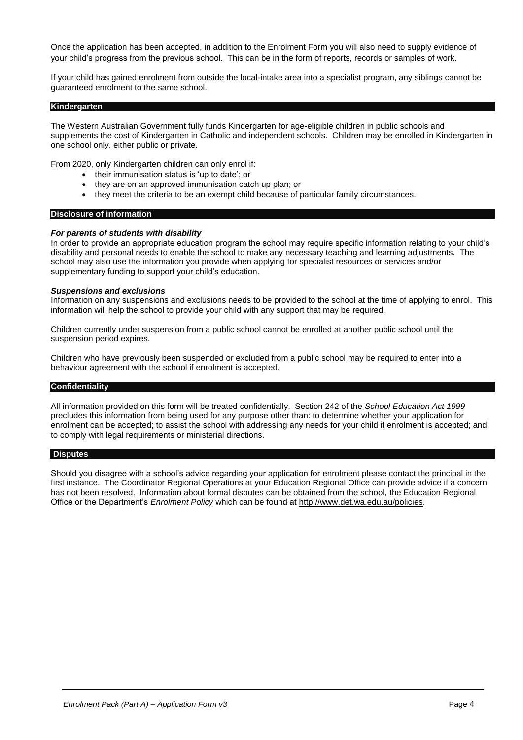Once the application has been accepted, in addition to the Enrolment Form you will also need to supply evidence of your child's progress from the previous school. This can be in the form of reports, records or samples of work.

If your child has gained enrolment from outside the local-intake area into a specialist program, any siblings cannot be guaranteed enrolment to the same school.

#### **Kindergarten**

The Western Australian Government fully funds Kindergarten for age-eligible children in public schools and supplements the cost of Kindergarten in Catholic and independent schools. Children may be enrolled in Kindergarten in one school only, either public or private.

From 2020, only Kindergarten children can only enrol if:

- their immunisation status is 'up to date'; or
- they are on an approved immunisation catch up plan; or
- they meet the criteria to be an exempt child because of particular family circumstances.

#### **Disclosure of information**

#### *For parents of students with disability*

In order to provide an appropriate education program the school may require specific information relating to your child's disability and personal needs to enable the school to make any necessary teaching and learning adjustments. The school may also use the information you provide when applying for specialist resources or services and/or supplementary funding to support your child's education.

#### *Suspensions and exclusions*

Information on any suspensions and exclusions needs to be provided to the school at the time of applying to enrol. This information will help the school to provide your child with any support that may be required.

Children currently under suspension from a public school cannot be enrolled at another public school until the suspension period expires.

Children who have previously been suspended or excluded from a public school may be required to enter into a behaviour agreement with the school if enrolment is accepted.

#### **Confidentiality**

All information provided on this form will be treated confidentially. Section 242 of the *School Education Act 1999* precludes this information from being used for any purpose other than: to determine whether your application for enrolment can be accepted; to assist the school with addressing any needs for your child if enrolment is accepted; and to comply with legal requirements or ministerial directions.

#### **Disputes**

Should you disagree with a school's advice regarding your application for enrolment please contact the principal in the first instance. The Coordinator Regional Operations at your Education Regional Office can provide advice if a concern has not been resolved. Information about formal disputes can be obtained from the school, the Education Regional Office or the Department's *Enrolment Policy* which can be found at [http://www.det.wa.edu.au/policies.](http://www.det.wa.edu.au/policies)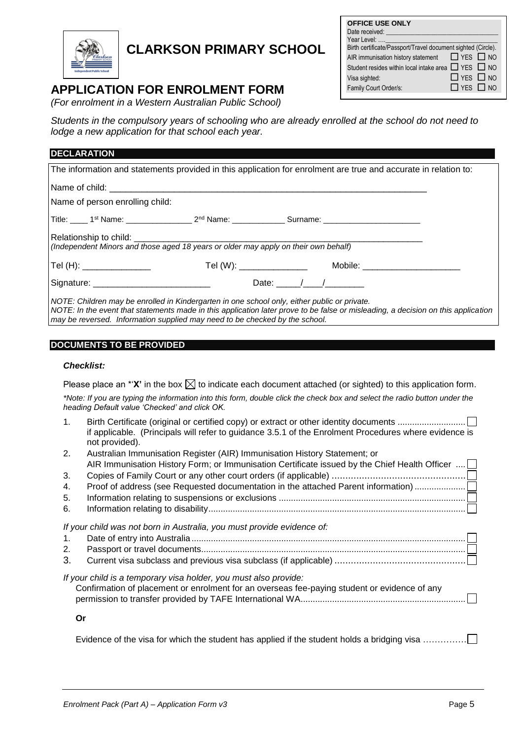

# **CLARKSON PRIMARY SCHOOL**

## **APPLICATION FOR ENROLMENT FORM**

*(For enrolment in a Western Australian Public School)*

Students in the compulsory years of schooling who are already enrolled at the school do not need to *lodge a new application for that school each year.*

| <b>DECLARATION</b>                                                                                                                                                                                                                                                                                               |  |
|------------------------------------------------------------------------------------------------------------------------------------------------------------------------------------------------------------------------------------------------------------------------------------------------------------------|--|
| The information and statements provided in this application for enrolment are true and accurate in relation to:                                                                                                                                                                                                  |  |
|                                                                                                                                                                                                                                                                                                                  |  |
| Name of person enrolling child:                                                                                                                                                                                                                                                                                  |  |
|                                                                                                                                                                                                                                                                                                                  |  |
| Relationship to child: _______________<br>(Independent Minors and those aged 18 years or older may apply on their own behalf)                                                                                                                                                                                    |  |
| Mobile: _______________________                                                                                                                                                                                                                                                                                  |  |
| Date: $/$ /                                                                                                                                                                                                                                                                                                      |  |
| NOTE: Children may be enrolled in Kindergarten in one school only, either public or private.<br>NOTE: In the event that statements made in this application later prove to be false or misleading, a decision on this application<br>may be reversed. Information supplied may need to be checked by the school. |  |

## **DOCUMENTS TO BE PROVIDED**

### *Checklist:*

Please place an  $*{\bf X}$  in the box  $\boxtimes$  to indicate each document attached (or sighted) to this application form.

*\*Note: If you are typing the information into this form, double click the check box and select the radio button under the heading Default value 'Checked' and click OK.*

| 1. | if applicable. (Principals will refer to guidance 3.5.1 of the Enrolment Procedures where evidence is<br>not provided).                                          |
|----|------------------------------------------------------------------------------------------------------------------------------------------------------------------|
| 2. | Australian Immunisation Register (AIR) Immunisation History Statement; or                                                                                        |
|    | AIR Immunisation History Form; or Immunisation Certificate issued by the Chief Health Officer                                                                    |
| 3. |                                                                                                                                                                  |
| 4. | Proof of address (see Requested documentation in the attached Parent information)                                                                                |
| 5. |                                                                                                                                                                  |
| 6. |                                                                                                                                                                  |
| 1. | If your child was not born in Australia, you must provide evidence of:                                                                                           |
| 2. |                                                                                                                                                                  |
| 3. |                                                                                                                                                                  |
|    | If your child is a temporary visa holder, you must also provide:<br>Confirmation of placement or enrolment for an overseas fee-paying student or evidence of any |
|    | Or                                                                                                                                                               |
|    | Evidence of the visa for which the student has applied if the student holds a bridging visa                                                                      |

| <b>OFFICE USE ONLY</b>                                       |
|--------------------------------------------------------------|
| Date received:                                               |
| Year Level:                                                  |
| Birth certificate/Passport/Travel document sighted (Circle). |
| AIR immunisation history statement $\Box$ YES $\Box$ NO      |
| Student resides within local intake area □ YES □ NO          |
| $\Box$ YES $\Box$ NO<br>Visa sighted:                        |
| $\Box$ YES $\Box$ NO<br>Family Court Order/s:                |
|                                                              |